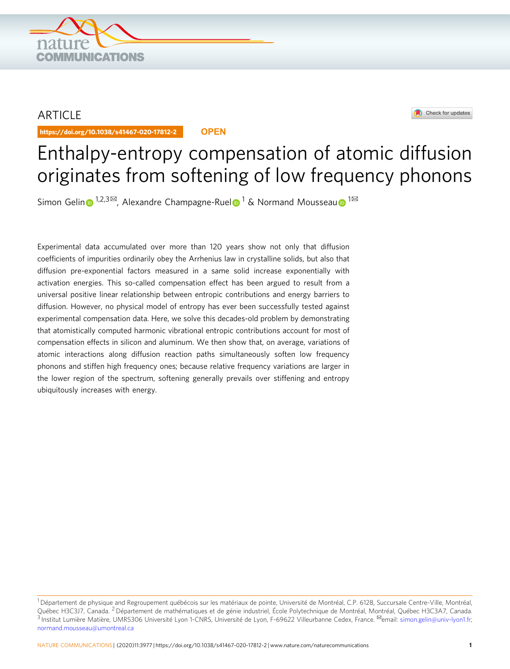## ARTICLE

https://doi.org/10.1038/s41467-020-17812-2 **OPEN**

**COMMUNICATIONS** 



# Enthalpy-entropy compensation of atomic diffusion originates from softening of low frequency phonons

Simo[n](http://orcid.org/0000-0001-8584-8526) Ge[l](http://orcid.org/0000-0002-2699-2699)in  $\bigoplus$  $\bigoplus$  $\bigoplus$  [1](http://orcid.org/0000-0003-0575-7590),2,3 $\boxtimes$ , Alexandre Champagne-Ruel  $\bigoplus$  1 & Normand Mousseau  $\bigoplus$  1 $\boxtimes$ 

Experimental data accumulated over more than 120 years show not only that diffusion coefficients of impurities ordinarily obey the Arrhenius law in crystalline solids, but also that diffusion pre-exponential factors measured in a same solid increase exponentially with activation energies. This so-called compensation effect has been argued to result from a universal positive linear relationship between entropic contributions and energy barriers to diffusion. However, no physical model of entropy has ever been successfully tested against experimental compensation data. Here, we solve this decades-old problem by demonstrating that atomistically computed harmonic vibrational entropic contributions account for most of compensation effects in silicon and aluminum. We then show that, on average, variations of atomic interactions along diffusion reaction paths simultaneously soften low frequency phonons and stiffen high frequency ones; because relative frequency variations are larger in the lower region of the spectrum, softening generally prevails over stiffening and entropy ubiquitously increases with energy.

 $^1$ Département de physique and Regroupement québécois sur les matériaux de pointe, Université de Montréal, C.P. 6128, Succursale Centre-Ville, Montréal, Québec H3C3J7, Canada. <sup>2</sup> Département de mathématiques et de génie industriel, École Polytechnique de Montréal, Montréal, Québec H3C3A7, Canada. 3 Institut Lumière Matière, UMR5306 Université Lyon 1-CNRS, Université de Lyon, F-69622 Villeurbanne Cedex, France. <sup>⊠</sup>email: [simon.gelin@univ-lyon1.fr;](mailto:simon.gelin@univ-lyon1.fr) [normand.mousseau@umontreal.ca](mailto:normand.mousseau@umontreal.ca)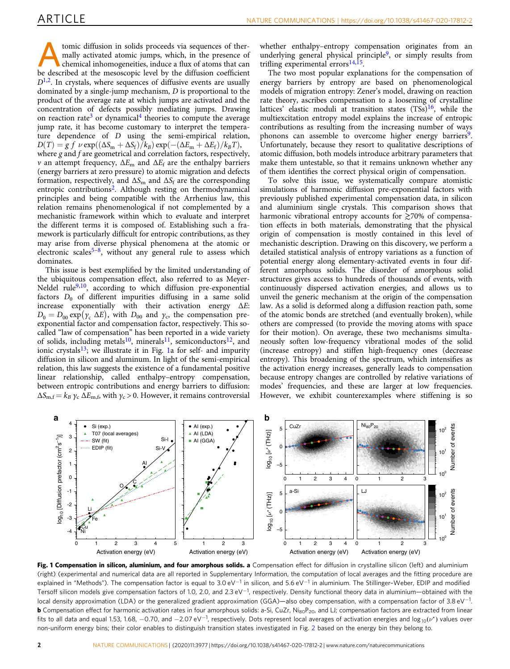<span id="page-1-0"></span>Atomic diffusion in solids proceeds via sequences of ther-<br>
chemical inhomogeneities, induce a flux of atoms that can<br>
be described at the mesoscopic level by the diffusion coefficient mally activated atomic jumps, which, in the presence of be described at the mesoscopic level by the diffusion coefficient  $D<sup>1,2</sup>$  $D<sup>1,2</sup>$  $D<sup>1,2</sup>$ . In crystals, where sequences of diffusive events are usually dominated by a single-jump mechanism, D is proportional to the product of the average rate at which jumps are activated and the concentration of defects possibly mediating jumps. Drawing on reaction rate<sup>[3](#page-5-0)</sup> or dynamical<sup>[4](#page-5-0)</sup> theories to compute the average jump rate, it has become customary to interpret the temperature dependence of D using the semi-empirical relation,  $D(T) = g f \nu \exp((\Delta S_m + \Delta S_f)/k_B) \exp(-(\Delta E_m + \Delta E_f)/k_B T),$ where g and f are geometrical and correlation factors, respectively, ν an attempt frequency,  $\Delta E$ <sub>m</sub> and  $\Delta E$ <sub>f</sub> are the enthalpy barriers (energy barriers at zero pressure) to atomic migration and defects formation, respectively, and  $\Delta S_{\rm m}$  and  $\Delta S_{\rm f}$  are the corresponding entropic contributions<sup>2</sup>. Although resting on thermodynamical principles and being compatible with the Arrhenius law, this relation remains phenomenological if not complemented by a mechanistic framework within which to evaluate and interpret the different terms it is composed of. Establishing such a framework is particularly difficult for entropic contributions, as they may arise from diverse physical phenomena at the atomic or electronic scales<sup>[5](#page-5-0)–8</sup>, without any general rule to assess which dominates.

This issue is best exemplified by the limited understanding of the ubiquitous compensation effect, also referred to as Meyer-Neldel rule<sup>[9](#page-5-0),10</sup>, according to which diffusion pre-exponential factors  $D_0$  of different impurities diffusing in a same solid increase exponentially with their activation energy  $\Delta E$ :  $D_0 = D_{00} \exp(\gamma_c \Delta E)$ , with  $D_{00}$  and  $\gamma_c$ , the compensation preexponential factor and compensation factor, respectively. This socalled "law of compensation" has been reported in a wide variety of solids, including metals<sup>[10](#page-5-0)</sup>, minerals<sup>11</sup>, semiconductors<sup>12</sup>, and ionic crystals $13$ ; we illustrate it in Fig. 1a for self- and impurity diffusion in silicon and aluminum. In light of the semi-empirical relation, this law suggests the existence of a fundamental positive linear relationship, called enthalpy–entropy compensation, between entropic contributions and energy barriers to diffusion:  $\Delta S_{\rm m,f} = k_B \gamma_c \Delta E_{\rm m,f}$ , with  $\gamma_c > 0$ . However, it remains controversial

whether enthalpy–entropy compensation originates from an underlying general physical principle<sup>9</sup>, or simply results from trifling experimental errors $14,15$ .

The two most popular explanations for the compensation of energy barriers by entropy are based on phenomenological models of migration entropy: Zener's model, drawing on reaction rate theory, ascribes compensation to a loosening of crystalline lattices' elastic moduli at transition states  $(TSs)$ <sup>16</sup>, while the multiexcitation entropy model explains the increase of entropic contributions as resulting from the increasing number of ways phonons can assemble to overcome higher energy barriers<sup>9</sup>. Unfortunately, because they resort to qualitative descriptions of atomic diffusion, both models introduce arbitrary parameters that make them untestable, so that it remains unknown whether any of them identifies the correct physical origin of compensation.

To solve this issue, we systematically compare atomistic simulations of harmonic diffusion pre-exponential factors with previously published experimental compensation data, in silicon and aluminium single crystals. This comparison shows that harmonic vibrational entropy accounts for  $\geq 70\%$  of compensation effects in both materials, demonstrating that the physical origin of compensation is mostly contained in this level of mechanistic description. Drawing on this discovery, we perform a detailed statistical analysis of entropy variations as a function of potential energy along elementary-activated events in four different amorphous solids. The disorder of amorphous solid structures gives access to hundreds of thousands of events, with continuously dispersed activation energies, and allows us to unveil the generic mechanism at the origin of the compensation law. As a solid is deformed along a diffusion reaction path, some of the atomic bonds are stretched (and eventually broken), while others are compressed (to provide the moving atoms with space for their motion). On average, these two mechanisms simultaneously soften low-frequency vibrational modes of the solid (increase entropy) and stiffen high-frequency ones (decrease entropy). This broadening of the spectrum, which intensifies as the activation energy increases, generally leads to compensation because entropy changes are controlled by relative variations of modes' frequencies, and these are larger at low frequencies. However, we exhibit counterexamples where stiffening is so



Fig. 1 Compensation in silicon, aluminium, and four amorphous solids. a Compensation effect for diffusion in crystalline silicon (left) and aluminium (right) (experimental and numerical data are all reported in Supplementary Information, the computation of local averages and the fitting procedure are explained in "Methods"). The compensation factor is equal to 3.0 eV<sup>-1</sup> in silicon, and 5.6 eV<sup>-1</sup> in aluminium. The Stillinger-Weber, EDIP and modified Tersoff silicon models give compensation factors of 1.0, 2.0, and 2.3 eV<sup>-1</sup>, respectively. Density functional theory data in aluminium—obtained with the local density approximation (LDA) or the generalized gradient approximation (GGA)—also obey compensation, with a compensation factor of 3.8 eV<sup>-1</sup>. **b** Compensation effect for harmonic activation rates in four amorphous solids: a-Si, CuZr, Ni<sub>80</sub>P<sub>20</sub>, and LJ; compensation factors are extracted from linear fits to all data and equal 1.53, 1.68,  $-0.70$ , and  $-2.07$  eV $^{-1}$ , respectively. Dots represent local averages of activation energies and log<sub>10</sub> $(\nu^*)$  values over non-uniform energy bins; their color enables to distinguish transition states investigated in Fig. [2](#page-3-0) based on the energy bin they belong to.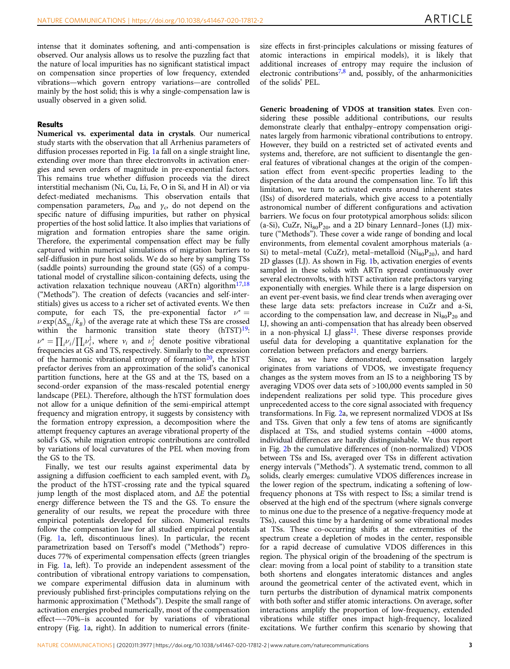intense that it dominates softening, and anti-compensation is observed. Our analysis allows us to resolve the puzzling fact that the nature of local impurities has no significant statistical impact on compensation since properties of low frequency, extended vibrations—which govern entropy variations—are controlled mainly by the host solid; this is why a single-compensation law is usually observed in a given solid.

### Results

Numerical vs. experimental data in crystals. Our numerical study starts with the observation that all Arrhenius parameters of diffusion processes reported in Fig. [1a](#page-1-0) fall on a single straight line, extending over more than three electronvolts in activation energies and seven orders of magnitude in pre-exponential factors. This remains true whether diffusion proceeds via the direct interstitial mechanism (Ni, Cu, Li, Fe, O in Si, and H in Al) or via defect-mediated mechanisms. This observation entails that compensation parameters,  $D_{00}$  and  $\gamma_c$ , do not depend on the specific nature of diffusing impurities, but rather on physical properties of the host solid lattice. It also implies that variations of migration and formation entropies share the same origin. Therefore, the experimental compensation effect may be fully captured within numerical simulations of migration barriers to self-diffusion in pure host solids. We do so here by sampling TSs (saddle points) surrounding the ground state (GS) of a computational model of crystalline silicon-containing defects, using the activation relaxation technique nouveau (ARTn) algorithm<sup>[17,18](#page-5-0)</sup> ("Methods"). The creation of defects (vacancies and self-interstitials) gives us access to a richer set of activated events. We then compute, for each TS, the pre-exponential factor  $v^* =$  $\nu \exp(\Delta S_m/k_B)$  of the average rate at which these TSs are crossed within the harmonic transition state theory  $(hTST)^{19}$ :  $\nu^* = \prod_i \nu_i / \prod_i \nu_i^{\dagger}$ , where  $\nu_i$  and  $\nu_i^{\dagger}$  denote positive vibrational frequencies at GS and TS, respectively. Similarly to the expression of the harmonic vibrational entropy of formation<sup>[20](#page-5-0)</sup>, the hTST prefactor derives from an approximation of the solid's canonical partition functions, here at the GS and at the TS, based on a second-order expansion of the mass-rescaled potential energy landscape (PEL). Therefore, although the hTST formulation does not allow for a unique definition of the semi-empirical attempt frequency and migration entropy, it suggests by consistency with the formation entropy expression, a decomposition where the attempt frequency captures an average vibrational property of the solid's GS, while migration entropic contributions are controlled by variations of local curvatures of the PEL when moving from the GS to the TS.

Finally, we test our results against experimental data by assigning a diffusion coefficient to each sampled event, with  $D_0$ the product of the hTST-crossing rate and the typical squared jump length of the most displaced atom, and  $\Delta E$  the potential energy difference between the TS and the GS. To ensure the generality of our results, we repeat the procedure with three empirical potentials developed for silicon. Numerical results follow the compensation law for all studied empirical potentials (Fig. [1](#page-1-0)a, left, discontinuous lines). In particular, the recent parametrization based on Tersoff's model ("Methods") reproduces 77% of experimental compensation effects (green triangles in Fig. [1a](#page-1-0), left). To provide an independent assessment of the contribution of vibrational entropy variations to compensation, we compare experimental diffusion data in aluminum with previously published first-principles computations relying on the harmonic approximation ("Methods"). Despite the small range of activation energies probed numerically, most of the compensation effect—~70%–is accounted for by variations of vibrational entropy (Fig. [1a](#page-1-0), right). In addition to numerical errors (finitesize effects in first-principles calculations or missing features of atomic interactions in empirical models), it is likely that additional increases of entropy may require the inclusion of electronic contributions<sup>[7,8](#page-5-0)</sup> and, possibly, of the anharmonicities of the solids' PEL.

Generic broadening of VDOS at transition states. Even considering these possible additional contributions, our results demonstrate clearly that enthalpy–entropy compensation originates largely from harmonic vibrational contributions to entropy. However, they build on a restricted set of activated events and systems and, therefore, are not sufficient to disentangle the general features of vibrational changes at the origin of the compensation effect from event-specific properties leading to the dispersion of the data around the compensation line. To lift this limitation, we turn to activated events around inherent states (ISs) of disordered materials, which give access to a potentially astronomical number of different configurations and activation barriers. We focus on four prototypical amorphous solids: silicon (a-Si), CuZr,  $Ni_{80}P_{20}$ , and a 2D binary Lennard–Jones (LJ) mixture ("Methods"). These cover a wide range of bonding and local environments, from elemental covalent amorphous materials (a-Si) to metal–metal (CuZr), metal–metalloid ( $\text{Ni}_{80}\text{P}_{20}$ ), and hard 2D glasses (LJ). As shown in Fig. [1b](#page-1-0), activation energies of events sampled in these solids with ARTn spread continuously over several electronvolts, with hTST activation rate prefactors varying exponentially with energies. While there is a large dispersion on an event per-event basis, we find clear trends when averaging over these large data sets: prefactors increase in CuZr and a-Si, according to the compensation law, and decrease in  $\text{Ni}_{80} \text{P}_{20}$  and LJ, showing an anti-compensation that has already been observed in a non-physical LJ glass<sup>21</sup>. These diverse responses provide useful data for developing a quantitative explanation for the correlation between prefactors and energy barriers.

Since, as we have demonstrated, compensation largely originates from variations of VDOS, we investigate frequency changes as the system moves from an IS to a neighboring TS by averaging VDOS over data sets of >100,000 events sampled in 50 independent realizations per solid type. This procedure gives unprecedented access to the core signal associated with frequency transformations. In Fig. [2a](#page-3-0), we represent normalized VDOS at ISs and TSs. Given that only a few tens of atoms are significantly displaced at TSs, and studied systems contain ~4000 atoms, individual differences are hardly distinguishable. We thus report in Fig. [2](#page-3-0)b the cumulative differences of (non-normalized) VDOS between TSs and ISs, averaged over TSs in different activation energy intervals ("Methods"). A systematic trend, common to all solids, clearly emerges: cumulative VDOS differences increase in the lower region of the spectrum, indicating a softening of lowfrequency phonons at TSs with respect to ISs; a similar trend is observed at the high end of the spectrum (where signals converge to minus one due to the presence of a negative-frequency mode at TSs), caused this time by a hardening of some vibrational modes at TSs. These co-occurring shifts at the extremities of the spectrum create a depletion of modes in the center, responsible for a rapid decrease of cumulative VDOS differences in this region. The physical origin of the broadening of the spectrum is clear: moving from a local point of stability to a transition state both shortens and elongates interatomic distances and angles around the geometrical center of the activated event, which in turn perturbs the distribution of dynamical matrix components with both softer and stiffer atomic interactions. On average, softer interactions amplify the proportion of low-frequency, extended vibrations while stiffer ones impact high-frequency, localized excitations. We further confirm this scenario by showing that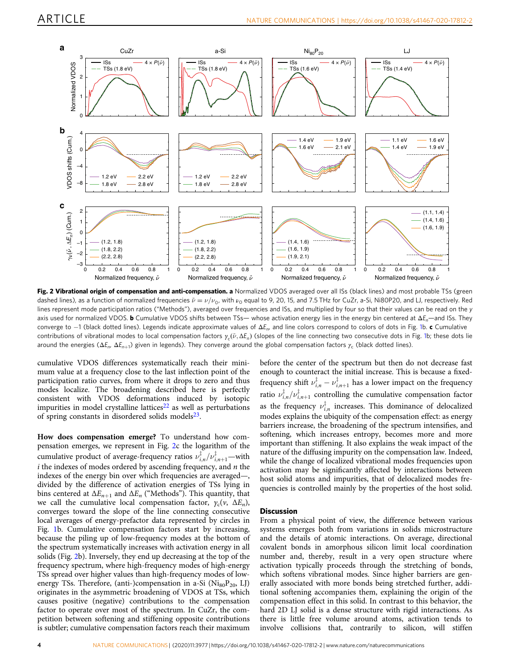<span id="page-3-0"></span>

Fig. 2 Vibrational origin of compensation and anti-compensation. a Normalized VDOS averaged over all ISs (black lines) and most probable TSs (green dashed lines), as a function of normalized frequencies  $\tilde{\nu} = \nu/\nu_0$ , with  $\nu_0$  equal to 9, 20, 15, and 7.5 THz for CuZr, a-Si, Ni80P20, and LJ, respectively. Red lines represent mode participation ratios ("Methods"), averaged over frequencies and ISs, and multiplied by four so that their values can be read on the y axis used for normalized VDOS. **b** Cumulative VDOS shifts between TSs— whose activation energy lies in the energy bin centered at  $\Delta E_n$ —and ISs. They converge to  $-1$  $-1$  (black dotted lines). Legends indicate approximate values of  $\Delta E_n$  and line colors correspond to colors of dots in Fig. 1b. c Cumulative contributions of vibrational modes to local compensation factors  $\gamma_c(\tilde{\nu}, \Delta E_n)$  (slopes of the line connecting two consecutive dots in Fig. [1](#page-1-0)b; these dots lie around the energies ( $\Delta E_n$ ,  $\Delta E_{n+1}$ ) given in legends). They converge around the global compensation factors  $\gamma_c$  (black dotted lines).

cumulative VDOS differences systematically reach their minimum value at a frequency close to the last inflection point of the participation ratio curves, from where it drops to zero and thus modes localize. The broadening described here is perfectly consistent with VDOS deformations induced by isotopic impurities in model crystalline lattices<sup>[22](#page-5-0)</sup> as well as perturbations of spring constants in disordered solids models $23$ .

How does compensation emerge? To understand how compensation emerges, we represent in Fig. 2c the logarithm of the cumulative product of average-frequency ratios  $\nu_{i,n}^{\dagger}/\nu_{i,n+1}^{\dagger}$  –with  $i$  the indexes of modes ordered by ascending frequency, and  $n$  the indexes of the energy bin over which frequencies are averaged—, divided by the difference of activation energies of TSs lying in bins centered at  $\Delta E_{n+1}$  and  $\Delta E_n$  ("Methods"). This quantity, that we call the cumulative local compensation factor,  $\gamma_c(v, \Delta E_n)$ , converges toward the slope of the line connecting consecutive local averages of energy-prefactor data represented by circles in Fig. [1b](#page-1-0). Cumulative compensation factors start by increasing, because the piling up of low-frequency modes at the bottom of the spectrum systematically increases with activation energy in all solids (Fig. 2b). Inversely, they end up decreasing at the top of the frequency spectrum, where high-frequency modes of high-energy TSs spread over higher values than high-frequency modes of lowenergy TSs. Therefore, (anti-)compensation in a-Si  $(Ni_{80}P_{20}, LJ)$ originates in the asymmetric broadening of VDOS at TSs, which causes positive (negative) contributions to the compensation factor to operate over most of the spectrum. In CuZr, the competition between softening and stiffening opposite contributions is subtler; cumulative compensation factors reach their maximum

before the center of the spectrum but then do not decrease fast enough to counteract the initial increase. This is because a fixedfrequency shift  $v_{i,n}^{\dagger} - v_{i,n+1}^{\dagger}$  has a lower impact on the frequency ratio  $\nu_{i,n}^{\dagger}/\nu_{i,n+1}^{\dagger}$  controlling the cumulative compensation factor as the frequency  $v_{i,n}^+$  increases. This dominance of delocalized modes explains the ubiquity of the compensation effect: as energy barriers increase, the broadening of the spectrum intensifies, and softening, which increases entropy, becomes more and more important than stiffening. It also explains the weak impact of the nature of the diffusing impurity on the compensation law. Indeed, while the change of localized vibrational modes frequencies upon activation may be significantly affected by interactions between host solid atoms and impurities, that of delocalized modes frequencies is controlled mainly by the properties of the host solid.

### **Discussion**

From a physical point of view, the difference between various systems emerges both from variations in solids microstructure and the details of atomic interactions. On average, directional covalent bonds in amorphous silicon limit local coordination number and, thereby, result in a very open structure where activation typically proceeds through the stretching of bonds, which softens vibrational modes. Since higher barriers are generally associated with more bonds being stretched further, additional softening accompanies them, explaining the origin of the compensation effect in this solid. In contrast to this behavior, the hard 2D LJ solid is a dense structure with rigid interactions. As there is little free volume around atoms, activation tends to involve collisions that, contrarily to silicon, will stiffen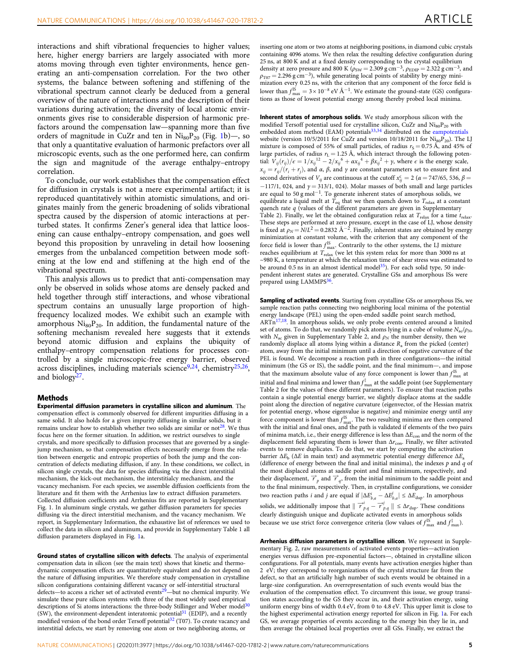interactions and shift vibrational frequencies to higher values; here, higher energy barriers are largely associated with more atoms moving through even tighter environments, hence generating an anti-compensation correlation. For the two other systems, the balance between softening and stiffening of the vibrational spectrum cannot clearly be deduced from a general overview of the nature of interactions and the description of their variations during activation; the diversity of local atomic environments gives rise to considerable dispersion of harmonic prefactors around the compensation law—spanning more than five orders of magnitude in CuZr and ten in  $\text{Ni}_{80}P_{20}$  (Fig. [1](#page-1-0)b)-, so that only a quantitative evaluation of harmonic prefactors over all microscopic events, such as the one performed here, can confirm the sign and magnitude of the average enthalpy–entropy correlation.

To conclude, our work establishes that the compensation effect for diffusion in crystals is not a mere experimental artifact; it is reproduced quantitatively within atomistic simulations, and originates mainly from the generic broadening of solids vibrational spectra caused by the dispersion of atomic interactions at perturbed states. It confirms Zener's general idea that lattice loosening can cause enthalpy–entropy compensation, and goes well beyond this proposition by unraveling in detail how loosening emerges from the unbalanced competition between mode softening at the low end and stiffening at the high end of the vibrational spectrum.

This analysis allows us to predict that anti-compensation may only be observed in solids whose atoms are densely packed and held together through stiff interactions, and whose vibrational spectrum contains an unusually large proportion of highfrequency localized modes. We exhibit such an example with amorphous  $Ni<sub>80</sub>P<sub>20</sub>$ . In addition, the fundamental nature of the softening mechanism revealed here suggests that it extends beyond atomic diffusion and explains the ubiquity of enthalpy–entropy compensation relations for processes controlled by a single microscopic-free energy barrier, observed across disciplines, including materials science<sup>[9,](#page-5-0)24</sup>, chemistry<sup>25,26</sup>, and biology[27.](#page-6-0)

#### **Methods**

Experimental diffusion parameters in crystalline silicon and aluminum. The compensation effect is commonly observed for different impurities diffusing in a same solid. It also holds for a given impurity diffusing in similar solids, but it remains unclear how to establish whether two solids are similar or not<sup>[28](#page-6-0)</sup>. We thus focus here on the former situation. In addition, we restrict ourselves to single crystals, and more specifically to diffusion processes that are governed by a singlejump mechanism, so that compensation effects necessarily emerge from the relation between energetic and entropic properties of both the jump and the concentration of defects mediating diffusion, if any. In these conditions, we collect, in silicon single crystals, the data for species diffusing via the direct interstitial mechanism, the kick-out mechanism, the interstitialcy mechanism, and the vacancy mechanism. For each species, we assemble diffusion coefficients from the literature and fit them with the Arrhenius law to extract diffusion parameters. Collected diffusion coefficients and Arrhenius fits are reported in Supplementary Fig. 1. In aluminum single crystals, we gather diffusion parameters for species diffusing via the direct interstitial mechanism, and the vacancy mechanism. We report, in Supplementary Information, the exhaustive list of references we used to collect the data in silicon and aluminum, and provide in Supplementary Table 1 all diffusion parameters displayed in Fig. [1](#page-1-0)a.

Ground states of crystalline silicon with defects. The analysis of experimental compensation data in silicon (see the main text) shows that kinetic and thermodynamic compensation effects are quantitatively equivalent and do not depend on the nature of diffusing impurities. We therefore study compensation in crystalline silicon configurations containing different vacancy or self-interstitial structural defects—to access a richer set of activated events<sup>[29](#page-6-0)</sup>—but no chemical impurity. We simulate these pure silicon systems with three of the most widely used empirical descriptions of Si atoms interactions: the three-body Stillinger and Weber model<sup>30</sup> (SW), the environment-dependent interatomic potentia[l31](#page-6-0) (EDIP), and a recently modified version of the bond order Tersoff potential<sup>32</sup> (T07). To create vacancy and interstitial defects, we start by removing one atom or two neighboring atoms, or

inserting one atom or two atoms at neighboring positions, in diamond cubic crystals containing 4096 atoms. We then relax the resulting defective configuration during 25 ns, at 800 K and at a fixed density corresponding to the crystal equilibrium density at zero pressure and 800 K ( $\rho_{SW} = 2.309$  g cm<sup>-3</sup>,  $\rho_{EDIP} = 2.322$  g cm<sup>-3</sup>, and  $\rho_{\text{T07}} = 2.296 \text{ g cm}^{-3}$ ), while generating local points of stability by energy minimization every 0.25 ns, with the criterion that any component of the force field is lower than  $f_{\text{max}}^{IS} = 3 \times 10^{-8} \text{ eV} \text{ Å}^{-1}$ . We estimate the ground-state (GS) configurations as those of lowest potential energy among thereby probed local minima.

Inherent states of amorphous solids. We study amorphous silicon with the modified Tersoff potential used for crystalline silicon, CuZr and  $\mathrm{Ni_{80}P_{20}}$  with embedded atom method (EAM) potentials<sup>[33,34](#page-6-0)</sup> distributed on the [eampotentials](https://sites.google.com/site/eampotentials/) website (version 10/5/2011 for CuZr and version 10/18/2011 for  $Ni_{80}P_{20}$ ). The LJ mixture is composed of 55% of small particles, of radius  $r_s = 0.75 \text{ Å}$ , and 45% of large particles, of radius  $r<sub>L</sub> = 1.25$  Å, which interact through the following potential:  $V_{ij}(r_{ij})/\epsilon = 1/x_{ij}^{12} - 2/x_{ij}^{6} + \alpha x_{ij}^{4} + \beta x_{ij}^{2} + \gamma$ , where  $\epsilon$  is the energy scale,  $x_{ii} = r_{ii}/(r_i + r_i)$ , and  $\alpha$ ,  $\beta$ , and  $\gamma$  are constant parameters set to ensure first and second derivatives of  $V_{ij}$  are continuous at the cutoff  $x_{ij}^c = 2$  ( $\alpha = 747/65$ , 536,  $\beta =$  $-117/1$ , 024, and  $\gamma = 313/1$ , 024). Molar masses of both small and large particles are equal to 50 g mol<sup>−</sup>1. To generate inherent states of amorphous solids, we equilibrate a liquid melt at  $T_{eq}$  that we then quench down to  $T_{relax}$  at a constant quench rate  $q$  (values of the different parameters are given in Supplementary Table 2). Finally, we let the obtained configuration relax at  $T_{\text{relax}}$  for a time  $t_{\text{relax}}$ . These steps are performed at zero pressure, except in the case of LJ, whose density is fixed at  $\rho_N = N/L^2 = 0.2832 \text{ Å}^{-2}$ . Finally, inherent states are obtained by energy minimization at constant volume, with the criterion that any component of the force field is lower than  $f_{\text{max}}^{\text{IS}}$ . Contrarily to the other systems, the LJ mixture reaches equilibrium at  $T_{\rm relax}$  (we let this system relax for more than 3000 ns at ~980 K, a temperature at which the relaxation time of shear stress was estimated to be around  $0.5$  ns in an almost identical model<sup>35</sup>). For each solid type, 50 inde pendent inherent states are generated. Crystalline GSs and amorphous ISs were prepared using LAMMPS<sup>[36](#page-6-0)</sup>.

Sampling of activated events. Starting from crystalline GSs or amorphous ISs, we sample reaction paths connecting two neighboring local minima of the potential energy landscape (PEL) using the open-ended saddle point search method, ARTn<sup>17,18</sup>. In amorphous solids, we only probe events centered around a limited set of atoms. To do that, we randomly pick atoms lying in a cube of volume  $N_{\rm ac}/\rho_{\rm N}$ , with  $N_{\text{ac}}$  given in Supplementary Table 2, and  $\rho_N$  the number density, then we randomly displace all atoms lying within a distance  $R_a$  from the picked (center) atom, away from the initial minimum until a direction of negative curvature of the PEL is found. We decompose a reaction path in three configurations—the initial minimum (the GS or IS), the saddle point, and the final minimum—, and impose that the maximum absolute value of any force component is lower than  $f_{\text{max}}^{IS}$  at initial and final minima and lower than  $f_{\rm max}^{\ddag}$  at the saddle point (see Supplementary Table 2 for the values of these different parameters). To ensure that reaction paths contain a single potential energy barrier, we slightly displace atoms at the saddle point along the direction of negative curvature (eigenvector, of the Hessian matrix for potential energy, whose eigenvalue is negative) and minimize energy until any force component is lower than  $f_{\text{max}}^{\text{IS}}$ . The two resulting minima are then compared with the initial and final ones, and the path is validated if elements of the two pairs of minima match, i.e., their energy difference is less than  $\Delta E_{\rm con}$  and the norm of the displacement field separating them is lower than  $\Delta r_{\rm con}$ . Finally, we filter activated events to remove duplicates. To do that, we start by computing the activation barrier  $\Delta E_b$  ( $\Delta E$  in main text) and asymmetric potential energy difference  $\Delta E_a$ (difference of energy between the final and initial minima), the indexes  $p$  and  $q$  of the most displaced atoms at saddle point and final minimum, respectively, and their displacement,  $\overrightarrow{r}_p$  and  $\overrightarrow{r}_q$ , from the initial minimum to the saddle point and to the final minimum, respectively. Then, in crystalline configurations, we consider two reaction paths *i* and *j* are equal if  $|\Delta E_{b,a}^i - \Delta E_{b,a}^j| \leq \Delta E_{\text{dup}}$ . In amorphous solids, we additionally impose that  $\|\overrightarrow{r}_{p,q}^{i} - \overrightarrow{r}_{p,q}^{j}\| \leq \Delta r_{\text{dup}}$ . These conditions clearly distinguish unique and duplicate activated events in amorphous solids because we use strict force convergence criteria (low values of  $f_{\text{max}}^{IS}$  and  $f_{\text{max}}^{\ddagger}$ ).

Arrhenius diffusion parameters in crystalline silicon. We represent in Supplementary Fig. 2, raw measurements of activated events properties—activation energies versus diffusion pre-exponential factors—, obtained in crystalline silicon configurations. For all potentials, many events have activation energies higher than 2 eV; they correspond to reorganizations of the crystal structure far from the defect, so that an artificially high number of such events would be obtained in a large-size configuration. An overrepresentation of such events would bias the evaluation of the compensation effect. To circumvent this issue, we group transition states according to the GS they occur in, and their activation energy, using uniform energy bins of width 0.4 eV, from 0 to 4.8 eV. This upper limit is close to the highest experimental activation energy reported for silicon in Fig. [1a](#page-1-0). For each GS, we average properties of events according to the energy bin they lie in, and then average the obtained local properties over all GSs. Finally, we extract the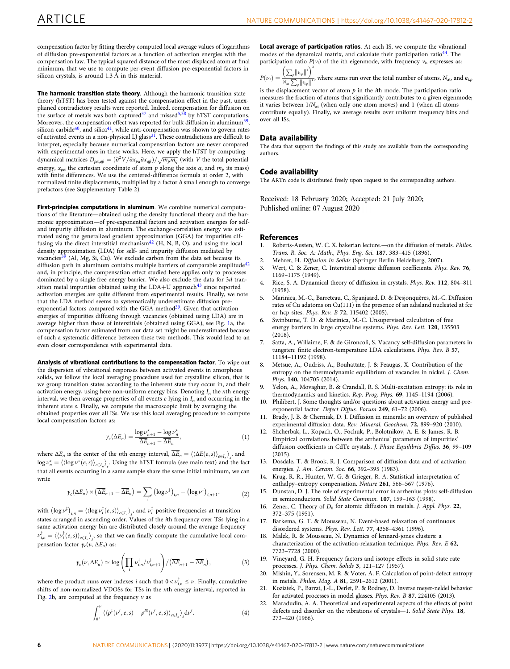<span id="page-5-0"></span>compensation factor by fitting thereby computed local average values of logarithms of diffusion pre-exponential factors as a function of activation energies with the compensation law. The typical squared distance of the most displaced atom at final minimum, that we use to compute per-event diffusion pre-exponential factors in silicon crystals, is around  $1.3 \text{ Å}$  in this material.

The harmonic transition state theory. Although the harmonic transition state theory (hTST) has been tested against the compensation effect in the past, unex-plained contradictory results were reported. Indeed, compensation for diffusion on<br>the surface of metals was both captured<sup>[37](#page-6-0)</sup> and missed<sup>5,[38](#page-6-0)</sup> by hTST computations. Moreover, the compensation effect was reported for bulk diffusion in aluminum<sup>39</sup>, silicon carbide<sup>40</sup>, and silica<sup>41</sup>, while anti-compensation was shown to govern rates<br>of activated events in a non-physical LJ glass<sup>21</sup>. These contradictions are difficult to interpret, especially because numerical compensation factors are never compared with experimental ones in these works. Here, we apply the hTST by computing dynamical matrices  $D_{p\alpha,q\beta}=(\partial^2 V/\partial x_{p\alpha}\partial x_{q\beta})/\sqrt{m_p m_q}$  (with  $V$  the total potential energy,  $x_{p\alpha}$  the cartesian coordinate of atom  $p$  along the axis  $\alpha$ , and  $m_p$  its mass) with finite differences. We use the centered-difference formula at order 2, with normalized finite displacements, multiplied by a factor  $\delta$  small enough to converge prefactors (see Supplementary Table 2).

First-principles computations in aluminum. We combine numerical computations of the literature—obtained using the density functional theory and the harmonic approximation—of pre-exponential factors and activation energies for selfand impurity diffusion in aluminum. The exchange-correlation energy was estimated using the generalized gradient approximation (GGA) for impurities diffusing via the direct interstitial mechanism<sup>42</sup> (H, N, B, O), and using the local density approximation (LDA) for self- and impurity diffusion mediated by<br>vacancies<sup>[39](#page-6-0)</sup> (Al, Mg, Si, Cu). We exclude carbon from the data set because its diffusion path in aluminum contains multiple barriers of comparable amplitude<sup>[42](#page-6-0)</sup> and, in principle, the compensation effect studied here applies only to processes dominated by a single free energy barrier. We also exclude the data for 3d transition metal impurities obtained using the  $LDA+U$  approach<sup>[43](#page-6-0)</sup> since reported activation energies are quite different from experimental results. Finally, we note that the LDA method seems to systematically underestimate diffusion pre-exponential factors compared with the GGA method<sup>[39](#page-6-0)</sup>. Given that activation energies of impurities diffusing through vacancies (obtained using LDA) are in average higher than those of interstitials (obtained using GGA), see Fig. [1a](#page-1-0), the compensation factor estimated from our data set might be underestimated because of such a systematic difference between these two methods. This would lead to an even closer correspondence with experimental data.

Analysis of vibrational contributions to the compensation factor. To wipe out the dispersion of vibrational responses between activated events in amorphous solids, we follow the local averaging procedure used for crystalline silicon, that is we group transition states according to the inherent state they occur in, and their activation energy, using here non-uniform energy bins. Denoting  $I_n$  the *n*th energy interval, we then average properties of all events  $e$  lying in  $I_n$  and occurring in the inherent state s. Finally, we compute the macroscopic limit by averaging the obtained properties over all ISs. We use this local averaging procedure to compute local compensation factors as:

$$
\gamma_{\rm c}(\Delta E_n) = \frac{\log \nu_{n+1}^\star - \log \nu_n^\star}{\Delta E_{n+1} - \Delta E_n},\tag{1}
$$

where  $\Delta E_n$  is the center of the *n*th energy interval,  $\Delta E_n = \langle \langle \Delta E(e, s) \rangle_{e \in I_n} \rangle_s$ , and  $\log \nu_n^* = \langle (\log \nu^*(e, s))_{e \in I_n} \rangle_s$ . Using the hTST formula (see main text) and the fact that all events occurring in a same sample share the same initial minimum, we can write

$$
\gamma_{\mathsf{c}}(\Delta E_n) \times (\overline{\Delta E}_{n+1} - \overline{\Delta E}_n) = \sum_i \left( \log \nu^{\dagger} \right)_{i,n} - \left( \log \nu^{\dagger} \right)_{i,n+1},\tag{2}
$$

with  $(\log \nu^{\ddagger})_{i,n} = \langle (\log \nu^{\ddagger}_i(e,s))_{e \in I_n} \rangle_s$ , and  $\nu^{\ddagger}_i$  positive frequencies at transition states arranged in ascending order. Values of the ith frequency over TSs lying in a same activation energy bin are distributed closely around the average frequency  $\nu_{i,n}^{\ddagger} = \langle \langle \nu_i^{\ddagger}(e,s) \rangle_{e \in I_n} \rangle_s$ , so that we can finally compute the cumulative local compensation factor  $γ<sub>c</sub>(ν, ΔE<sub>n</sub>)$  as:

$$
\gamma_{\rm c}(\nu,\Delta E_n) \simeq \log \left( \prod_i \nu_{i,n}^{\ddagger}/\nu_{i,n+1}^{\ddagger} \right) / \left( \overline{\Delta E}_{n+1} - \overline{\Delta E}_n \right),\tag{3}
$$

where the product runs over indexes i such that  $0 < \nu_{i,n}^{\bar{x}} \leq \nu$ . Finally, cumulative shifts of non-normalized VDOSs for TSs in the nth energy interval, reported in Fig. [2b](#page-3-0), are computed at the frequency  $\nu$  as

$$
\int_{0^+}^{\nu} \langle \langle \rho^{\dagger}(\nu',e,s) - \rho^{IS}(\nu',e,s) \rangle_{e \in I_n} \rangle_{s} d\nu'.
$$
 (4)

Local average of participation ratios. At each IS, we compute the vibrational modes of the dynamical matrix, and calculate their participation ratio<sup>[44](#page-6-0)</sup>. The participation ratio  $P(v_i)$  of the *i*th eigenmode, with frequency  $v_i$ , expresses as:

 $P(\nu_i) =$  $\left(\sum_{p}\left\Vert \mathbf{e}_{i,p}\right\Vert ^{2}\right)^{2}$  $N_{\rm at} \sum_{p} ||\mathbf{e}_{i,p}||$  $\frac{1}{4}$ , where sums run over the total number of atoms,  $N_{ab}$  and  $e_{i,b}$ 

is the displacement vector of atom  $p$  in the *i*th mode. The participation ratio measures the fraction of atoms that significantly contributes to a given eigenmode; it varies between  $1/N_{at}$  (when only one atom moves) and 1 (when all atoms contribute equally). Finally, we average results over uniform frequency bins and over all ISs.

#### Data availability

The data that support the findings of this study are available from the corresponding authors.

#### Code availability

The ARTn code is distributed freely upon request to the corresponding authors.

Received: 18 February 2020; Accepted: 21 July 2020; Published online: 07 August 2020

#### References

- 1. Roberts-Austen, W. C. X. bakerian lecture.—on the diffusion of metals. Philos. Trans. R. Soc. A: Math., Phys. Eng. Sci. 187, 383–415 (1896).
- 2. Mehrer, H. Diffusion in Solids (Springer Berlin Heidelberg, 2007).
- 3. Wert, C. & Zener, C. Interstitial atomic diffusion coefficients. Phys. Rev. 76, 1169–1175 (1949).
- 4. Rice, S. A. Dynamical theory of diffusion in crystals. Phys. Rev. 112, 804–811 (1958).
- 5. Marinica, M.-C., Barreteau, C., Spanjaard, D. & Desjonquères, M.-C. Diffusion rates of Cu adatoms on Cu(111) in the presence of an adisland nucleated at fcc or hcp sites. Phys. Rev. B 72, 115402 (2005).
- 6. Swinburne, T. D. & Marinica, M.-C. Unsupervised calculation of free energy barriers in large crystalline systems. Phys. Rev. Lett. 120, 135503 (2018).
- 7. Satta, A., Willaime, F. & de Gironcoli, S. Vacancy self-diffusion parameters in tungsten: finite electron-temperature LDA calculations. Phys. Rev. B 57, 11184–11192 (1998).
- 8. Metsue, A., Oudriss, A., Bouhattate, J. & Feaugas, X. Contribution of the entropy on the thermodynamic equilibrium of vacancies in nickel. J. Chem. Phys. 140, 104705 (2014).
- 9. Yelon, A., Movaghar, B. & Crandall, R. S. Multi-excitation entropy: its role in thermodynamics and kinetics. Rep. Prog. Phys. 69, 1145-1194 (2006).
- 10. Philibert, J. Some thoughts and/or questions about activation energy and preexponential factor. Defect Diffus. Forum 249, 61–72 (2006).
- 11. Brady, J. B. & Cherniak, D. J. Diffusion in minerals: an overview of published experimental diffusion data. Rev. Mineral. Geochem. 72, 899–920 (2010).
- 12. Shcherbak, L., Kopach, O., Fochuk, P., Bolotnikov, A. E. & James, R. B. Empirical correlations between the arrhenius' parameters of impurities' diffusion coefficients in CdTe crystals. J. Phase Equilibria Diffus. 36, 99–109 (2015).
- 13. Dosdale, T. & Brook, R. J. Comparison of diffusion data and of activation energies. J. Am. Ceram. Soc. 66, 392–395 (1983).
- 14. Krug, R. R., Hunter, W. G. & Grieger, R. A. Statistical interpretation of enthalpy–entropy compensation. Nature 261, 566–567 (1976).
- 15. Dunstan, D. J. The role of experimental error in arrhenius plots: self-diffusion in semiconductors. Solid State Commun. 107, 159–163 (1998).
- 16. Zener, C. Theory of  $D_0$  for atomic diffusion in metals. J. Appl. Phys. 22, 372–375 (1951).
- 17. Barkema, G. T. & Mousseau, N. Event-based relaxation of continuous disordered systems. Phys. Rev. Lett. 77, 4358–4361 (1996).
- 18. Malek, R. & Mousseau, N. Dynamics of lennard-jones clusters: a characterization of the activation-relaxation technique. Phys. Rev. E 62, 7723–7728 (2000).
- 19. Vineyard, G. H. Frequency factors and isotope effects in solid state rate processes. J. Phys. Chem. Solids 3, 121–127 (1957).
- 20. Mishin, Y., Sorensen, M. R. & Voter, A. F. Calculation of point-defect entropy in metals. Philos. Mag. A 81, 2591–2612 (2001).
- 21. Koziatek, P., Barrat, J.-L., Derlet, P. & Rodney, D. Inverse meyer-neldel behavior for activated processes in model glasses. Phys. Rev. B 87, 224105 (2013).
- 22. Maradudin, A. A. Theoretical and experimental aspects of the effects of point defects and disorder on the vibrations of crystals—1. Solid State Phys. 18, 273–420 (1966).